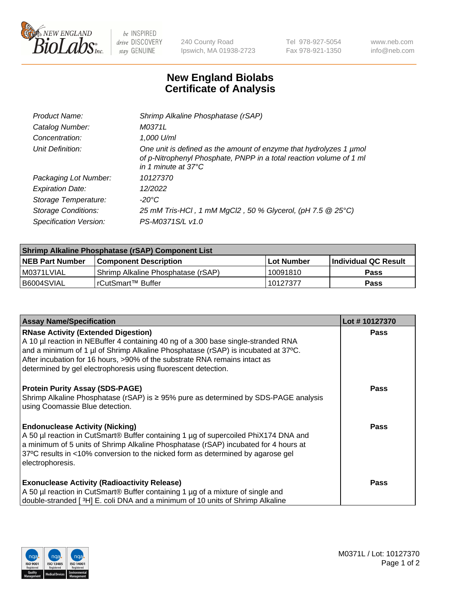

 $be$  INSPIRED drive DISCOVERY stay GENUINE

240 County Road Ipswich, MA 01938-2723 Tel 978-927-5054 Fax 978-921-1350 www.neb.com info@neb.com

## **New England Biolabs Certificate of Analysis**

| Product Name:              | Shrimp Alkaline Phosphatase (rSAP)                                                                                                                                         |
|----------------------------|----------------------------------------------------------------------------------------------------------------------------------------------------------------------------|
| Catalog Number:            | M0371L                                                                                                                                                                     |
| Concentration:             | 1,000 U/ml                                                                                                                                                                 |
| Unit Definition:           | One unit is defined as the amount of enzyme that hydrolyzes 1 µmol<br>of p-Nitrophenyl Phosphate, PNPP in a total reaction volume of 1 ml<br>in 1 minute at $37^{\circ}$ C |
| Packaging Lot Number:      | 10127370                                                                                                                                                                   |
| <b>Expiration Date:</b>    | 12/2022                                                                                                                                                                    |
| Storage Temperature:       | $-20^{\circ}$ C                                                                                                                                                            |
| <b>Storage Conditions:</b> | 25 mM Tris-HCl, 1 mM MgCl2, 50 % Glycerol, (pH 7.5 @ 25°C)                                                                                                                 |
| Specification Version:     | PS-M0371S/L v1.0                                                                                                                                                           |

| <b>Shrimp Alkaline Phosphatase (rSAP) Component List</b> |                                     |            |                      |  |
|----------------------------------------------------------|-------------------------------------|------------|----------------------|--|
| <b>NEB Part Number</b>                                   | <b>Component Description</b>        | Lot Number | Individual QC Result |  |
| I M0371LVIAL                                             | 'Shrimp Alkaline Phosphatase (rSAP) | 10091810   | <b>Pass</b>          |  |
| I B6004SVIAL                                             | l rCutSmart™ Buffer                 | 10127377   | <b>Pass</b>          |  |

| <b>Assay Name/Specification</b>                                                                                                                                                                                                                                                                                                                                      | Lot #10127370 |
|----------------------------------------------------------------------------------------------------------------------------------------------------------------------------------------------------------------------------------------------------------------------------------------------------------------------------------------------------------------------|---------------|
| <b>RNase Activity (Extended Digestion)</b><br>A 10 µl reaction in NEBuffer 4 containing 40 ng of a 300 base single-stranded RNA<br>and a minimum of 1 µl of Shrimp Alkaline Phosphatase (rSAP) is incubated at 37°C.<br>After incubation for 16 hours, >90% of the substrate RNA remains intact as<br>determined by gel electrophoresis using fluorescent detection. | <b>Pass</b>   |
| <b>Protein Purity Assay (SDS-PAGE)</b><br>Shrimp Alkaline Phosphatase (rSAP) is ≥ 95% pure as determined by SDS-PAGE analysis<br>using Coomassie Blue detection.                                                                                                                                                                                                     | <b>Pass</b>   |
| <b>Endonuclease Activity (Nicking)</b><br>A 50 µl reaction in CutSmart® Buffer containing 1 µg of supercoiled PhiX174 DNA and<br>a minimum of 5 units of Shrimp Alkaline Phosphatase (rSAP) incubated for 4 hours at<br>37°C results in <10% conversion to the nicked form as determined by agarose gel<br>electrophoresis.                                          | <b>Pass</b>   |
| <b>Exonuclease Activity (Radioactivity Release)</b><br>A 50 µl reaction in CutSmart® Buffer containing 1 µg of a mixture of single and<br>double-stranded [3H] E. coli DNA and a minimum of 10 units of Shrimp Alkaline                                                                                                                                              | <b>Pass</b>   |